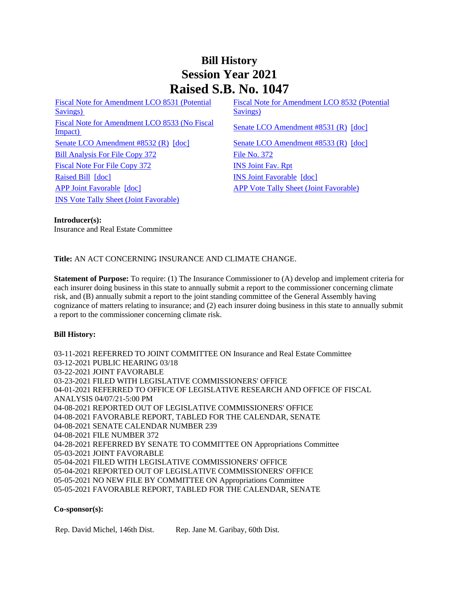# **Bill History Session Year 2021 Raised S.B. No. 1047**

[Fiscal Note for Amendment LCO 8531 \(Potential](/2021/fna/pdf/2021SB-01047-R00LCO08531-FNA.PDF)  [Savings\)](/2021/fna/pdf/2021SB-01047-R00LCO08531-FNA.PDF)  [Fiscal Note for Amendment LCO 8533 \(No Fiscal](/2021/fna/pdf/2021SB-01047-R00LCO08533-FNA.PDF)  <u>Senate LCO Amendment ECO 6333 (INO Fiscal</u> [Senate LCO Amendment #8531 \(R\)](/2021/lcoamd/pdf/2021LCO08531-R00-AMD.pdf) [\[doc\]](https://search.cga.state.ct.us/dl2021/aml/doc/2021LCO08531-R00-AMD.docx) [Senate LCO Amendment #8532 \(R\)](/2021/lcoamd/pdf/2021LCO08532-R00-AMD.pdf) [\[doc\]](https://search.cga.state.ct.us/dl2021/aml/doc/2021LCO08533-R00-AMD.docx) [Senate LCO Amendment #8533 \(R\)](/2021/lcoamd/pdf/2021LCO08533-R00-AMD.pdf) [doc] [Bill Analysis For File Copy 372](/2021/BA/PDF/2021SB-01047-R000372-BA.PDF) [File No. 372](/2021/FC/PDF/2021SB-01047-R000372-FC.PDF) [Fiscal Note For File Copy 372](/2021/FN/PDF/2021SB-01047-R000372-FN.PDF) **[INS Joint Fav. Rpt](/2021/JFR/S/PDF/2021SB-01047-R00INS-JFR.PDF)** [Raised Bill](/2021/TOB/S/PDF/2021SB-01047-R00-SB.PDF) [\[doc\]](https://search.cga.state.ct.us/dl2021/TOB/DOC/2021SB-01047-R01-SB.DOCX) **INS Joint Favorable** [doc] [APP Joint Favorable](/2021/TOB/S/PDF/2021SB-01047-R02-SB.PDF) [\[doc\]](https://search.cga.state.ct.us/dl2021/TOB/DOC/2021SB-01047-R02-SB.DOCX) [APP Vote Tally Sheet \(Joint Favorable\)](/2021/TS/S/PDF/2021SB-01047-R00APP-CV70-TS.PDF) [INS Vote Tally Sheet \(Joint Favorable\)](/2021/TS/S/PDF/2021SB-01047-R00INS-CV26-TS.PDF)

[Fiscal Note for Amendment LCO 8532 \(Potential](/2021/fna/pdf/2021SB-01047-R00LCO08532-FNA.PDF)  Saving<sub>s</sub>)

#### **Introducer(s):**

Insurance and Real Estate Committee

## **Title:** AN ACT CONCERNING INSURANCE AND CLIMATE CHANGE.

**Statement of Purpose:** To require: (1) The Insurance Commissioner to (A) develop and implement criteria for each insurer doing business in this state to annually submit a report to the commissioner concerning climate risk, and (B) annually submit a report to the joint standing committee of the General Assembly having cognizance of matters relating to insurance; and (2) each insurer doing business in this state to annually submit a report to the commissioner concerning climate risk.

## **Bill History:**

03-11-2021 REFERRED TO JOINT COMMITTEE ON Insurance and Real Estate Committee 03-12-2021 PUBLIC HEARING 03/18 03-22-2021 JOINT FAVORABLE 03-23-2021 FILED WITH LEGISLATIVE COMMISSIONERS' OFFICE 04-01-2021 REFERRED TO OFFICE OF LEGISLATIVE RESEARCH AND OFFICE OF FISCAL ANALYSIS 04/07/21-5:00 PM 04-08-2021 REPORTED OUT OF LEGISLATIVE COMMISSIONERS' OFFICE 04-08-2021 FAVORABLE REPORT, TABLED FOR THE CALENDAR, SENATE 04-08-2021 SENATE CALENDAR NUMBER 239 04-08-2021 FILE NUMBER 372 04-28-2021 REFERRED BY SENATE TO COMMITTEE ON Appropriations Committee 05-03-2021 JOINT FAVORABLE 05-04-2021 FILED WITH LEGISLATIVE COMMISSIONERS' OFFICE 05-04-2021 REPORTED OUT OF LEGISLATIVE COMMISSIONERS' OFFICE 05-05-2021 NO NEW FILE BY COMMITTEE ON Appropriations Committee 05-05-2021 FAVORABLE REPORT, TABLED FOR THE CALENDAR, SENATE

## **Co-sponsor(s):**

Rep. David Michel, 146th Dist. Rep. Jane M. Garibay, 60th Dist.